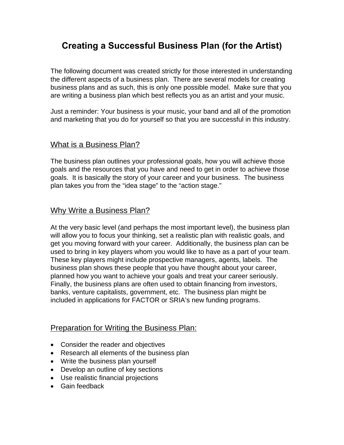# **Creating a Successful Business Plan (for the Artist)**

The following document was created strictly for those interested in understanding the different aspects of a business plan. There are several models for creating business plans and as such, this is only one possible model. Make sure that you are writing a business plan which best reflects you as an artist and your music.

Just a reminder: Your business is your music, your band and all of the promotion and marketing that you do for yourself so that you are successful in this industry.

# What is a Business Plan?

The business plan outlines your professional goals, how you will achieve those goals and the resources that you have and need to get in order to achieve those goals. It is basically the story of your career and your business. The business plan takes you from the "idea stage" to the "action stage."

# Why Write a Business Plan?

At the very basic level (and perhaps the most important level), the business plan will allow you to focus your thinking, set a realistic plan with realistic goals, and get you moving forward with your career. Additionally, the business plan can be used to bring in key players whom you would like to have as a part of your team. These key players might include prospective managers, agents, labels. The business plan shows these people that you have thought about your career, planned how you want to achieve your goals and treat your career seriously. Finally, the business plans are often used to obtain financing from investors, banks, venture capitalists, government, etc. The business plan might be included in applications for FACTOR or SRIA's new funding programs.

# **Preparation for Writing the Business Plan:**

- Consider the reader and objectives
- Research all elements of the business plan
- Write the business plan yourself
- Develop an outline of key sections
- Use realistic financial projections
- Gain feedback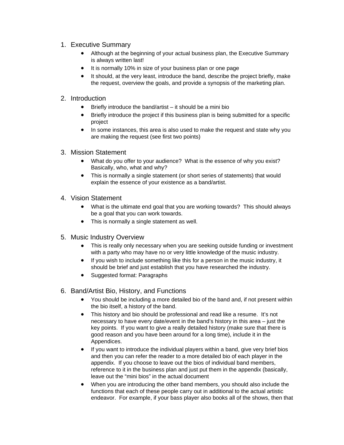- 1. Executive Summary
	- Although at the beginning of your actual business plan, the Executive Summary is always written last!
	- It is normally 10% in size of your business plan or one page
	- It should, at the very least, introduce the band, describe the project briefly, make the request, overview the goals, and provide a synopsis of the marketing plan.

### 2. Introduction

- $\bullet$  Briefly introduce the band/artist it should be a mini bio
- Briefly introduce the project if this business plan is being submitted for a specific project
- In some instances, this area is also used to make the request and state why you are making the request (see first two points)
- 3. Mission Statement
	- What do you offer to your audience? What is the essence of why you exist? Basically, who, what and why?
	- This is normally a single statement (or short series of statements) that would explain the essence of your existence as a band/artist.
- 4. Vision Statement
	- What is the ultimate end goal that you are working towards? This should always be a goal that you can work towards.
	- This is normally a single statement as well.
- 5. Music Industry Overview
	- This is really only necessary when you are seeking outside funding or investment with a party who may have no or very little knowledge of the music industry.
	- If you wish to include something like this for a person in the music industry, it should be brief and just establish that you have researched the industry.
	- Suggested format: Paragraphs
- 6. Band/Artist Bio, History, and Functions
	- You should be including a more detailed bio of the band and, if not present within the bio itself, a history of the band.
	- This history and bio should be professional and read like a resume. It's not necessary to have every date/event in the band's history in this area – just the key points. If you want to give a really detailed history (make sure that there is good reason and you have been around for a long time), include it in the Appendices.
	- If you want to introduce the individual players within a band, give very brief bios and then you can refer the reader to a more detailed bio of each player in the appendix. If you choose to leave out the bios of individual band members, reference to it in the business plan and just put them in the appendix (basically, leave out the "mini bios" in the actual document
	- When you are introducing the other band members, you should also include the functions that each of these people carry out in additional to the actual artistic endeavor. For example, if your bass player also books all of the shows, then that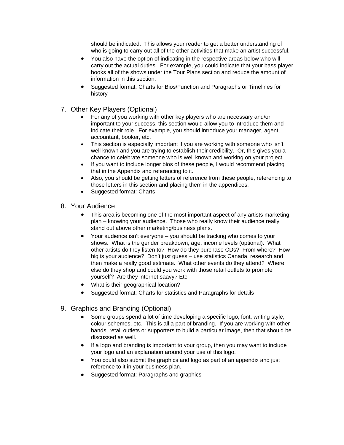should be indicated. This allows your reader to get a better understanding of who is going to carry out all of the other activities that make an artist successful.

- You also have the option of indicating in the respective areas below who will carry out the actual duties. For example, you could indicate that your bass player books all of the shows under the Tour Plans section and reduce the amount of information in this section.
- Suggested format: Charts for Bios/Function and Paragraphs or Timelines for history
- 7. Other Key Players (Optional)
	- For any of you working with other key players who are necessary and/or important to your success, this section would allow you to introduce them and indicate their role. For example, you should introduce your manager, agent, accountant, booker, etc.
	- This section is especially important if you are working with someone who isn't well known and you are trying to establish their credibility. Or, this gives you a chance to celebrate someone who is well known and working on your project.
	- If you want to include longer bios of these people, I would recommend placing that in the Appendix and referencing to it.
	- Also, you should be getting letters of reference from these people, referencing to those letters in this section and placing them in the appendices.
	- Suggested format: Charts
- 8. Your Audience
	- This area is becoming one of the most important aspect of any artists marketing plan – knowing your audience. Those who really know their audience really stand out above other marketing/business plans.
	- Your audience isn't everyone you should be tracking who comes to your shows. What is the gender breakdown, age, income levels (optional). What other artists do they listen to? How do they purchase CDs? From where? How big is your audience? Don't just guess – use statistics Canada, research and then make a really good estimate. What other events do they attend? Where else do they shop and could you work with those retail outlets to promote yourself? Are they internet saavy? Etc.
	- What is their geographical location?
	- Suggested format: Charts for statistics and Paragraphs for details
- 9. Graphics and Branding (Optional)
	- Some groups spend a lot of time developing a specific logo, font, writing style, colour schemes, etc. This is all a part of branding. If you are working with other bands, retail outlets or supporters to build a particular image, then that should be discussed as well.
	- If a logo and branding is important to your group, then you may want to include your logo and an explanation around your use of this logo.
	- You could also submit the graphics and logo as part of an appendix and just reference to it in your business plan.
	- Suggested format: Paragraphs and graphics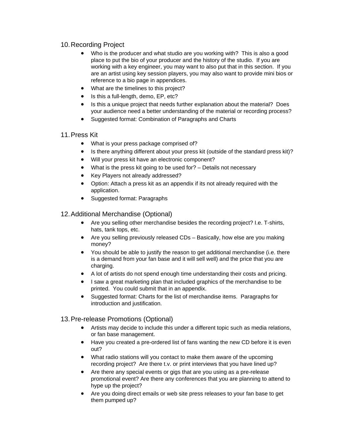# 10. Recording Project

- Who is the producer and what studio are you working with? This is also a good place to put the bio of your producer and the history of the studio. If you are working with a key engineer, you may want to also put that in this section. If you are an artist using key session players, you may also want to provide mini bios or reference to a bio page in appendices.
- What are the timelines to this project?
- Is this a full-length, demo, EP, etc?
- Is this a unique project that needs further explanation about the material? Does your audience need a better understanding of the material or recording process?
- Suggested format: Combination of Paragraphs and Charts

#### 11. Press Kit

- What is your press package comprised of?
- Is there anything different about your press kit (outside of the standard press kit)?
- Will your press kit have an electronic component?
- What is the press kit going to be used for? Details not necessary
- Key Players not already addressed?
- Option: Attach a press kit as an appendix if its not already required with the application.
- Suggested format: Paragraphs

12. Additional Merchandise (Optional)

- Are you selling other merchandise besides the recording project? I.e. T-shirts, hats, tank tops, etc.
- Are you selling previously released CDs Basically, how else are you making money?
- You should be able to justify the reason to get additional merchandise (i.e. there is a demand from your fan base and it will sell well) and the price that you are charging.
- A lot of artists do not spend enough time understanding their costs and pricing.
- I saw a great marketing plan that included graphics of the merchandise to be printed. You could submit that in an appendix.
- Suggested format: Charts for the list of merchandise items. Paragraphs for introduction and justification.

### 13. Pre-release Promotions (Optional)

- Artists may decide to include this under a different topic such as media relations, or fan base management.
- Have you created a pre-ordered list of fans wanting the new CD before it is even out?
- What radio stations will you contact to make them aware of the upcoming recording project? Are there t.v. or print interviews that you have lined up?
- Are there any special events or gigs that are you using as a pre-release promotional event? Are there any conferences that you are planning to attend to hype up the project?
- Are you doing direct emails or web site press releases to your fan base to get them pumped up?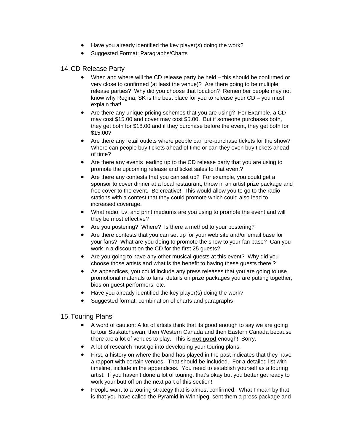- Have you already identified the key player(s) doing the work?
- Suggested Format: Paragraphs/Charts

#### 14. CD Release Party

- When and where will the CD release party be held this should be confirmed or very close to confirmed (at least the venue)? Are there going to be multiple release parties? Why did you choose that location? Remember people may not know why Regina, SK is the best place for you to release your CD – you must explain that!
- Are there any unique pricing schemes that you are using? For Example, a CD may cost \$15.00 and cover may cost \$5.00. But if someone purchases both, they get both for \$18.00 and if they purchase before the event, they get both for \$15.00?
- Are there any retail outlets where people can pre-purchase tickets for the show? Where can people buy tickets ahead of time or can they even buy tickets ahead of time?
- Are there any events leading up to the CD release party that you are using to promote the upcoming release and ticket sales to that event?
- Are there any contests that you can set up? For example, you could get a sponsor to cover dinner at a local restaurant, throw in an artist prize package and free cover to the event. Be creative! This would allow you to go to the radio stations with a contest that they could promote which could also lead to increased coverage.
- What radio, t.v. and print mediums are you using to promote the event and will they be most effective?
- Are you postering? Where? Is there a method to your postering?
- Are there contests that you can set up for your web site and/or email base for your fans? What are you doing to promote the show to your fan base? Can you work in a discount on the CD for the first 25 guests?
- Are you going to have any other musical quests at this event? Why did you choose those artists and what is the benefit to having these guests there!?
- As appendices, you could include any press releases that you are going to use, promotional materials to fans, details on prize packages you are putting together, bios on guest performers, etc.
- Have you already identified the key player(s) doing the work?
- Suggested format: combination of charts and paragraphs

#### 15. Touring Plans

- A word of caution: A lot of artists think that its good enough to say we are going to tour Saskatchewan, then Western Canada and then Eastern Canada because there are a lot of venues to play. This is **not good** enough! Sorry.
- A lot of research must go into developing your touring plans.
- First, a history on where the band has played in the past indicates that they have a rapport with certain venues. That should be included. For a detailed list with timeline, include in the appendices. You need to establish yourself as a touring artist. If you haven't done a lot of touring, that's okay but you better get ready to work your butt off on the next part of this section!
- People want to a touring strategy that is almost confirmed. What I mean by that is that you have called the Pyramid in Winnipeg, sent them a press package and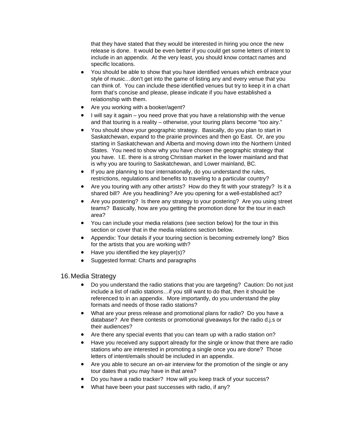that they have stated that they would be interested in hiring you once the new release is done. It would be even better if you could get some letters of intent to include in an appendix. At the very least, you should know contact names and specific locations.

- You should be able to show that you have identified venues which embrace your style of music…don't get into the game of listing any and every venue that you can think of. You can include these identified venues but try to keep it in a chart form that's concise and please, please indicate if you have established a relationship with them.
- Are you working with a booker/agent?
- I will say it again you need prove that you have a relationship with the venue and that touring is a reality – otherwise, your touring plans become "too airy."
- You should show your geographic strategy. Basically, do you plan to start in Saskatchewan, expand to the prairie provinces and then go East. Or, are you starting in Saskatchewan and Alberta and moving down into the Northern United States. You need to show why you have chosen the geographic strategy that you have. I.E. there is a strong Christian market in the lower mainland and that is why you are touring to Saskatchewan, and Lower mainland, BC.
- If you are planning to tour internationally, do you understand the rules, restrictions, regulations and benefits to traveling to a particular country?
- Are you touring with any other artists? How do they fit with your strategy? Is it a shared bill? Are you headlining? Are you opening for a well-established act?
- Are you postering? Is there any strategy to your postering? Are you using street teams? Basically, how are you getting the promotion done for the tour in each area?
- You can include your media relations (see section below) for the tour in this section or cover that in the media relations section below.
- Appendix: Tour details if your touring section is becoming extremely long? Bios for the artists that you are working with?
- Have you identified the key player(s)?
- Suggested format: Charts and paragraphs

### 16. Media Strategy

- Do you understand the radio stations that you are targeting? Caution: Do not just include a list of radio stations…if you still want to do that, then it should be referenced to in an appendix. More importantly, do you understand the play formats and needs of those radio stations?
- What are your press release and promotional plans for radio? Do you have a database? Are there contests or promotional giveaways for the radio d.j.s or their audiences?
- Are there any special events that you can team up with a radio station on?
- Have you received any support already for the single or know that there are radio stations who are interested in promoting a single once you are done? Those letters of intent/emails should be included in an appendix.
- Are you able to secure an on-air interview for the promotion of the single or any tour dates that you may have in that area?
- Do you have a radio tracker? How will you keep track of your success?
- What have been your past successes with radio, if any?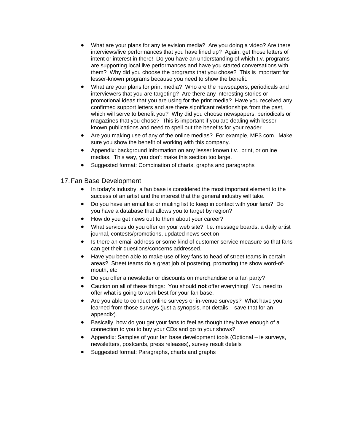- What are your plans for any television media? Are you doing a video? Are there interviews/live performances that you have lined up? Again, get those letters of intent or interest in there! Do you have an understanding of which t.v. programs are supporting local live performances and have you started conversations with them? Why did you choose the programs that you chose? This is important for lesser-known programs because you need to show the benefit.
- What are your plans for print media? Who are the newspapers, periodicals and interviewers that you are targeting? Are there any interesting stories or promotional ideas that you are using for the print media? Have you received any confirmed support letters and are there significant relationships from the past, which will serve to benefit you? Why did you choose newspapers, periodicals or magazines that you chose? This is important if you are dealing with lesserknown publications and need to spell out the benefits for your reader.
- Are you making use of any of the online medias? For example, MP3.com. Make sure you show the benefit of working with this company.
- Appendix: background information on any lesser known t.v., print, or online medias. This way, you don't make this section too large.
- Suggested format: Combination of charts, graphs and paragraphs

### 17. Fan Base Development

- In today's industry, a fan base is considered the most important element to the success of an artist and the interest that the general industry will take.
- Do you have an email list or mailing list to keep in contact with your fans? Do you have a database that allows you to target by region?
- How do you get news out to them about your career?
- What services do you offer on your web site? I.e. message boards, a daily artist journal, contests/promotions, updated news section
- Is there an email address or some kind of customer service measure so that fans can get their questions/concerns addressed.
- Have you been able to make use of key fans to head of street teams in certain areas? Street teams do a great job of postering, promoting the show word-ofmouth, etc.
- Do you offer a newsletter or discounts on merchandise or a fan party?
- Caution on all of these things: You should **not** offer everything! You need to offer what is going to work best for your fan base.
- Are you able to conduct online surveys or in-venue surveys? What have you learned from those surveys (just a synopsis, not details – save that for an appendix).
- Basically, how do you get your fans to feel as though they have enough of a connection to you to buy your CDs and go to your shows?
- Appendix: Samples of your fan base development tools (Optional ie surveys, newsletters, postcards, press releases), survey result details
- Suggested format: Paragraphs, charts and graphs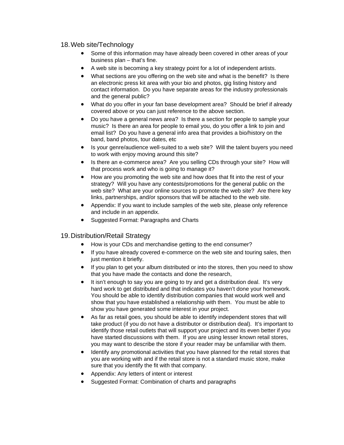#### 18. Web site/Technology

- Some of this information may have already been covered in other areas of your business plan – that's fine.
- A web site is becoming a key strategy point for a lot of independent artists.
- What sections are you offering on the web site and what is the benefit? Is there an electronic press kit area with your bio and photos, gig listing history and contact information. Do you have separate areas for the industry professionals and the general public?
- What do you offer in your fan base development area? Should be brief if already covered above or you can just reference to the above section.
- Do you have a general news area? Is there a section for people to sample your music? Is there an area for people to email you, do you offer a link to join and email list? Do you have a general info area that provides a bio/history on the band, band photos, tour dates, etc
- Is your genre/audience well-suited to a web site? Will the talent buyers you need to work with enjoy moving around this site?
- Is there an e-commerce area? Are you selling CDs through your site? How will that process work and who is going to manage it?
- How are you promoting the web site and how does that fit into the rest of your strategy? Will you have any contests/promotions for the general public on the web site? What are your online sources to promote the web site? Are there key links, partnerships, and/or sponsors that will be attached to the web site.
- Appendix: If you want to include samples of the web site, please only reference and include in an appendix.
- Suggested Format: Paragraphs and Charts

### 19. Distribution/Retail Strategy

- How is your CDs and merchandise getting to the end consumer?
- If you have already covered e-commerce on the web site and touring sales, then just mention it briefly.
- If you plan to get your album distributed or into the stores, then you need to show that you have made the contacts and done the research,
- It isn't enough to say you are going to try and get a distribution deal. It's very hard work to get distributed and that indicates you haven't done your homework. You should be able to identify distribution companies that would work well and show that you have established a relationship with them. You must be able to show you have generated some interest in your project.
- As far as retail goes, you should be able to identify independent stores that will take product (if you do not have a distributor or distribution deal). It's important to identify those retail outlets that will support your project and its even better if you have started discussions with them. If you are using lesser known retail stores, you may want to describe the store if your reader may be unfamiliar with them.
- Identify any promotional activities that you have planned for the retail stores that you are working with and if the retail store is not a standard music store, make sure that you identify the fit with that company.
- Appendix: Any letters of intent or interest
- Suggested Format: Combination of charts and paragraphs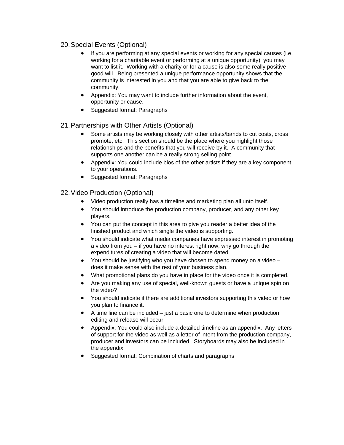# 20. Special Events (Optional)

- If you are performing at any special events or working for any special causes (i.e. working for a charitable event or performing at a unique opportunity), you may want to list it. Working with a charity or for a cause is also some really positive good will. Being presented a unique performance opportunity shows that the community is interested in you and that you are able to give back to the community.
- Appendix: You may want to include further information about the event, opportunity or cause.
- Suggested format: Paragraphs

### 21. Partnerships with Other Artists (Optional)

- Some artists may be working closely with other artists/bands to cut costs, cross promote, etc. This section should be the place where you highlight those relationships and the benefits that you will receive by it. A community that supports one another can be a really strong selling point.
- Appendix: You could include bios of the other artists if they are a key component to your operations.
- Suggested format: Paragraphs

### 22. Video Production (Optional)

- Video production really has a timeline and marketing plan all unto itself.
- You should introduce the production company, producer, and any other key players.
- You can put the concept in this area to give you reader a better idea of the finished product and which single the video is supporting.
- You should indicate what media companies have expressed interest in promoting a video from you – if you have no interest right now, why go through the expenditures of creating a video that will become dated.
- You should be justifying who you have chosen to spend money on a video does it make sense with the rest of your business plan.
- What promotional plans do you have in place for the video once it is completed.
- Are you making any use of special, well-known guests or have a unique spin on the video?
- You should indicate if there are additional investors supporting this video or how you plan to finance it.
- A time line can be included just a basic one to determine when production, editing and release will occur.
- Appendix: You could also include a detailed timeline as an appendix. Any letters of support for the video as well as a letter of intent from the production company, producer and investors can be included. Storyboards may also be included in the appendix.
- Suggested format: Combination of charts and paragraphs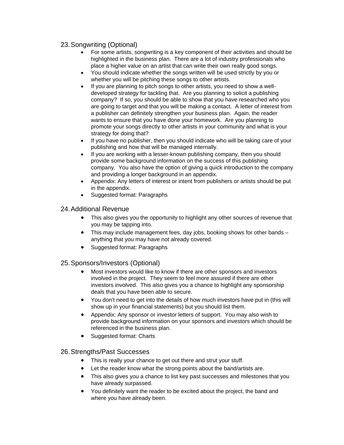# 23. Songwriting (Optional)

- For some artists, songwriting is a key component of their activities and should be highlighted in the business plan. There are a lot of industry professionals who place a higher value on an artist that can write their own really good songs.
- You should indicate whether the songs written will be used strictly by you or whether you will be pitching these songs to other artists.
- If you are planning to pitch songs to other artists, you need to show a welldeveloped strategy for tackling that. Are you planning to solicit a publishing company? If so, you should be able to show that you have researched who you are going to target and that you will be making a contact. A letter of interest from a publisher can definitely strengthen your business plan. Again, the reader wants to ensure that you have done your homework. Are you planning to promote your songs directly to other artists in your community and what is your strategy for doing that?
- If you have no publisher, then you should indicate who will be taking care of your publishing and how that will be managed internally.
- If you are working with a lesser-known publishing company, then you should provide some background information on the success of this publishing company. You also have the option of giving a quick introduction to the company and providing a longer background in an appendix.
- Appendix: Any letters of interest or intent from publishers or artists should be put in the appendix.
- Suggested format: Paragraphs

### 24. Additional Revenue

- This also gives you the opportunity to highlight any other sources of revenue that you may be tapping into.
- This may include management fees, day jobs, booking shows for other bands anything that you may have not already covered.
- Suggested format: Paragraphs

### 25. Sponsors/Investors (Optional)

- Most investors would like to know if there are other sponsors and investors involved in the project. They seem to feel more assured if there are other investors involved. This also gives you a chance to highlight any sponsorship deals that you have been able to secure.
- You don't need to get into the details of how much investors have put in (this will show up in your financial statements) but you should list them.
- Appendix: Any sponsor or investor letters of support. You may also wish to provide background information on your sponsors and investors which should be referenced in the business plan.
- Suggested format: Charts

#### 26. Strengths/Past Successes

- This is really your chance to get out there and strut your stuff.
- Let the reader know what the strong points about the band/artists are.
- This also gives you a chance to list key past successes and milestones that you have already surpassed.
- You definitely want the reader to be excited about the project, the band and where you have already been.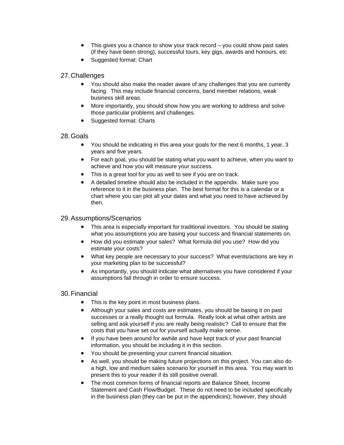- This gives you a chance to show your track record you could show past sales (if they have been strong), successful tours, key gigs, awards and honours, etc
- Suggested format: Chart

### 27. Challenges

- You should also make the reader aware of any challenges that you are currently facing. This may include financial concerns, band member relations, weak business skill areas.
- More importantly, you should show how you are working to address and solve those particular problems and challenges.
- Suggested format: Charts

#### 28. Goals

- You should be indicating in this area your goals for the next 6 months, 1 year, 3 years and five years.
- For each goal, you should be stating what you want to achieve, when you want to achieve and how you will measure your success.
- This is a great tool for you as well to see if you are on track.
- A detailed timeline should also be included in the appendix. Make sure you reference to it in the business plan. The best format for this is a calendar or a chart where you can plot all your dates and what you need to have achieved by then.

#### 29. Assumptions/Scenarios

- This area is especially important for traditional investors. You should be stating what you assumptions you are basing your success and financial statements on.
- How did you estimate your sales? What formula did you use? How did you estimate your costs?
- What key people are necessary to your success? What events/actions are key in your marketing plan to be successful?
- As importantly, you should indicate what alternatives you have considered if your assumptions fall through in order to ensure success.

### 30. Financial

- This is the key point in most business plans.
- Although your sales and costs are estimates, you should be basing it on past successes or a really thought out formula. Really look at what other artists are selling and ask yourself if you are really being realistic? Call to ensure that the costs that you have set out for yourself actually make sense.
- If you have been around for awhile and have kept track of your past financial information, you should be including it in this section.
- You should be presenting your current financial situation.
- As well, you should be making future projections on this project. You can also do a high, low and medium sales scenario for yourself in this area. You may want to present this to your reader if its still positive overall.
- The most common forms of financial reports are Balance Sheet, Income Statement and Cash Flow/Budget. These do not need to be included specifically in the business plan (they can be put in the appendices); however, they should